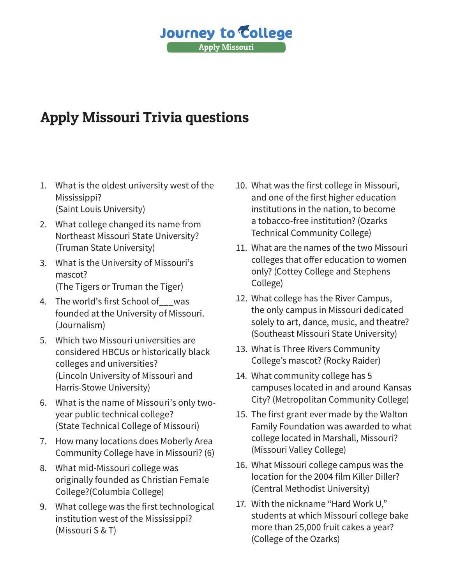## **Journey to College Apply Missouri**

## Apply Missouri Trivia questions

- 1. What is the oldest university west of the Mississippi? (Saint Louis University)
- 2. What college changed its name from Northeast Missouri State University? (Truman State University)
- 3. What is the University of Missouri's mascot? (The Tigers or Truman the Tiger)
- 4. The world's first School of was founded at the University of Missouri. (Journalism)
- 5. Which two Missouri universities are considered HBCUs or historically black colleges and universities? (Lincoln University of Missouri and Harris-Stowe University)
- 6. What is the name of Missouri's only twoyear public technical college? (State Technical College of Missouri)
- 7. How many locations does Moberly Area Community College have in Missouri? (6)
- 8. What mid-Missouri college was originally founded as Christian Female College?(Columbia College)
- 9. What college was the first technological institution west of the Mississippi? (Missouri S & T)
- 10. What was the first college in Missouri, and one of the first higher education institutions in the nation, to become a tobacco-free institution? (Ozarks Technical Community College)
- 11. What are the names of the two Missouri colleges that offer education to women only? (Cottey College and Stephens College)
- 12. What college has the River Campus, the only campus in Missouri dedicated solely to art, dance, music, and theatre? (Southeast Missouri State University)
- 13. What is Three Rivers Community College's mascot? (Rocky Raider)
- 14. What community college has 5 campuses located in and around Kansas City? (Metropolitan Community College)
- 15. The first grant ever made by the Walton Family Foundation was awarded to what college located in Marshall, Missouri? (Missouri Valley College)
- 16. What Missouri college campus was the location for the 2004 film Killer Diller? (Central Methodist University)
- 17. With the nickname "Hard Work U," students at which Missouri college bake more than 25,000 fruit cakes a year? (College of the Ozarks)